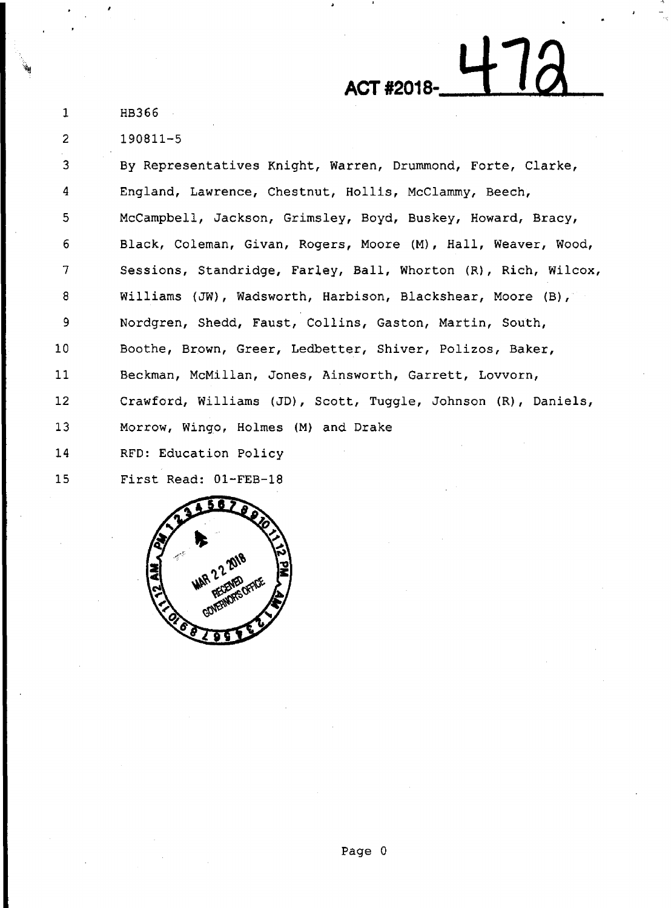-~

1

2

190811-5

3 4 5 6 7 8 9 10 11 12 13 14 15 By Representatives Knight, Warren, Drummond, Forte, Clarke, England, Lawrence, Chestnut, Hollis, McClammy, Beech, Mccampbell, Jackson, Grimsley, Boyd, Buskey, Howard, Bracy, Black, Coleman, Givan, Rogers, Moore (M}, Hall, Weaver, Wood, Sessions, Standridge, Farley, Ball, Whorton (R}, Rich, Wilcox, Williams (JW), Wadsworth, Harbison, Blackshear, Moore (B), Nordgren, Shedd, Faust, Collins, Gaston, Martin, South, Boothe, Brown, Greer, Ledbetter, Shiver, Polizos, Baker, Beckman, McMillan, Jones, Ainsworth, Garrett, Lovvorn, Crawford, Williams (JD}, Scott, Tuggle, Johnson (R}, Daniels, Morrow, Wingo, Holmes (M) and Drake RFD: Education Policy First Read: Ol-FEB-18

ACT #2018-<del>47</del>

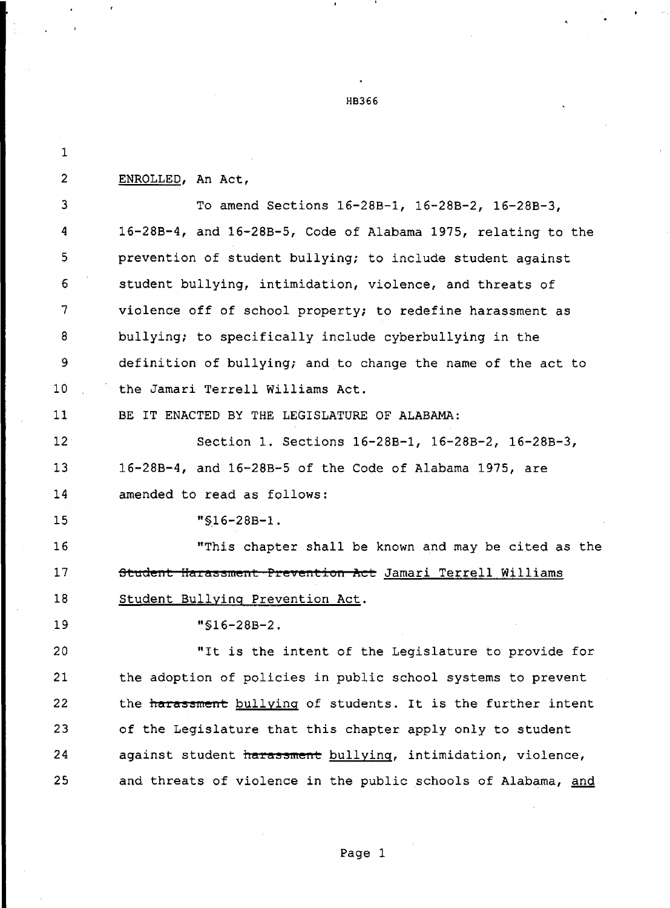1 **2 ENROLLED, An Act,**  3 To amend Sections 16-28B-1, 16-28B-2, 16-28B-3, **<sup>4</sup>**16-28B-4, and 16-28B-5, Code of Alabama 1975, relating to the 5 prevention of student bullying; to include student against 6 student bullying, intimidation, violence, and threats of 7 violence off of school property; to redefine harassment as 8 bullying; to specifically include cyberbullying in the 9 definition of bullying; and to change the name of the act to 10 the Jamari Terrell Williams Act. 11 BE IT ENACTED BY THE LEGISLATURE OF ALABAMA; 12 Section 1. Sections 16-28B-1, 16-28B-2, 16-28B-3, 13 16-28B-4, and 16-28B-5 of the Code of Alabama 1975, are 14 amended to read as follows: 15 "S16-28B-1. 16 "This chapter shall be known and may be cited as the 17 **Student Harassment Prevention Act** Jamari Terrell Williams 18 Student Bullying Prevention Act.

**H8366** 

19 "§16-28B-2.

20 "It is the intent of the Legislature to provide for 21 the adoption of policies in public school systems to prevent 22 the harassment bullying of students. It is the further intent 23 of the Legislature that this chapter apply only to student 24 against student harassment bullying, intimidation, violence, 25 and threats of violence in the public schools of Alabama, and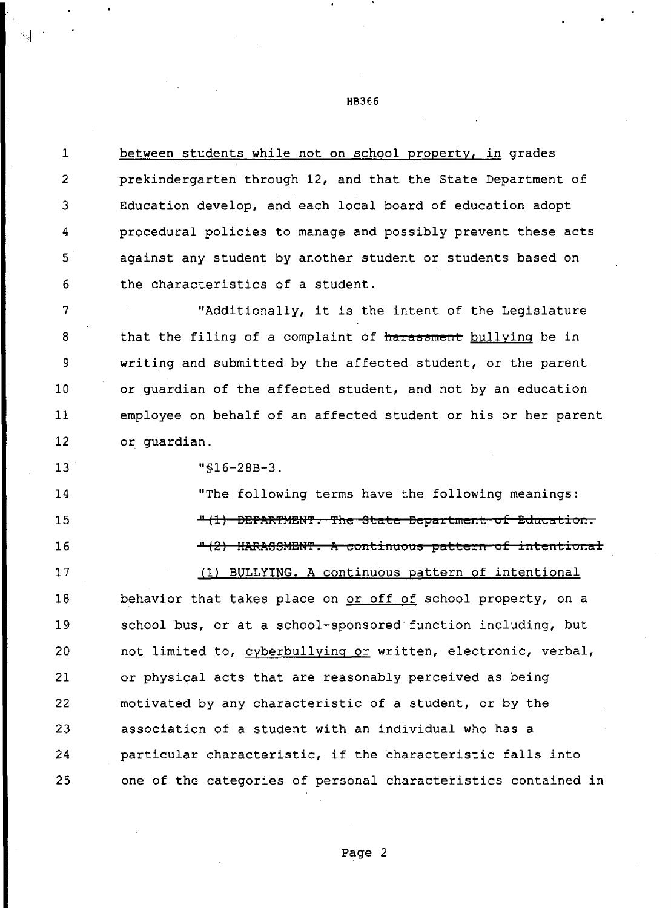1 between students while not on school property, in grades 2 prekindergarten through 12, and that the State Department of <sup>3</sup>Education develop, and each local board of education adopt 4 procedural policies to manage and possibly prevent these acts 5 against any student by another student or students based on 6 the characteristics of a student.

<sup>7</sup>"Additionally, it is the intent of the Legislature <sup>8</sup>that the filing of a complaint of **harassment** bullying be in 9 writing and submitted by the affected student, or the parent 10 or guardian of the affected student, and not by an education 11 employee on behalf of an affected student or his or her parent 12 or guardian.

13 "§16-28B-3.

14 "The following terms have the following meanings: 15 16  $11$ <sup>4</sup> (1) **DEPARTMENT. The State Department of Education.** <sup>11</sup>**(2} IIiltF:iltSSMEt,'f.** iii **continuous pattern of intent:ional**  17 (1) BULLYING. A continuous pattern of intentional 18 behavior that takes place on or off of school property, on a 19 school bus, or at a school-sponsored function including, but 20 not limited to, cyberbullying or written, electronic, verbal, 21 or physical acts that are reasonably perceived as being

22 motivated by any characteristic of a student, or by the 23 association of a student with an individual who has a 24 **particular characteristic, if the characteristic falls into** 25 one of the categories of personal characteristics contained in

HB366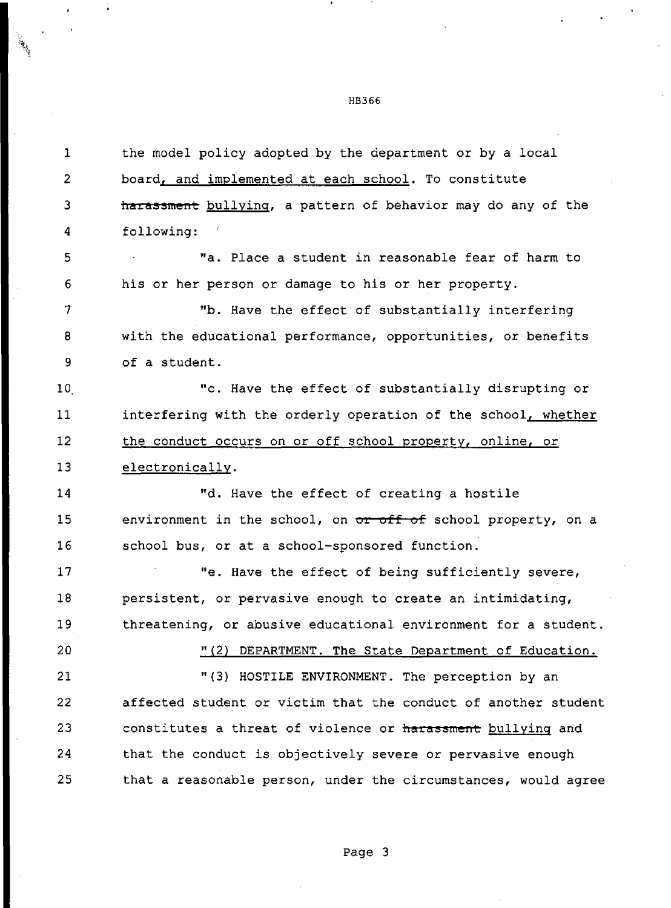1 the model policy adopted by the department or by a local 2 board, and implemented at each school. To constitute 3 **harassment** bullying, a pattern of behavior may do any of the 4 following: 5 "a. Place a student in reasonable fear of harm to 6 his or her person or damage to his or her property. 7 "b. Have the effect of substantially interfering 8 with the educational performance, opportunities, or benefits 9 of a student. 10 **C.** Have the effect of substantially disrupting or 11 interfering with the orderly operation of the school, whether 12 the conduct occurs on or off school property, online, or 13 electronically. 14 "d. Have the effect of creating a hostile 15 environment in the school, on **or off of** school property, on a 16 school bus, or at a school-sponsored function. 17 The Maye the effect of being sufficiently severe, 18 persistent, or pervasive enough to create an intimidating, 19 threatening, or abusive educational environment for a student. 20 "(2} DEPARTMENT. **The** State Department of Education. 21 "(3) HOSTILE ENVIRONMENT. The perception by an 22 affected student or victim that the conduct of another student 23 constitutes a threat of violence or harassment bullying and 24 that the conduct is objectively severe or pervasive enough 25 that a reasonable person, under the circumstances, would agree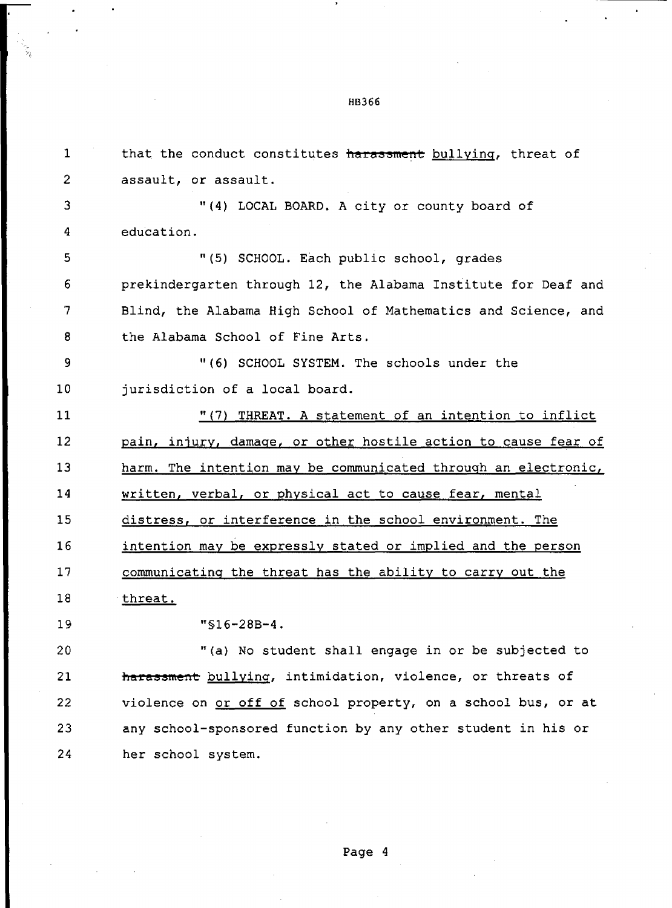1 that the conduct constitutes **harassment** bullying, threat of 2 assault, or assault. 3 **"{4)** LOCAL BOARD. A city or county board of 4 education. 5 "(5) SCHOOL. Each public school, grades 6 prekindergarten through 12, the Alabama Institute for Deaf and 7 Blind, the Alabama High School of Mathematics and Science, and 8 the Alabama School of Fine Arts. 9 "(6) SCHOOL SYSTEM. The schools under the 10 jurisdiction of a local board. 11 12 13 14 15 16 17 18 19 20 21 22 23 "{7) THREAT. A statement of an intention to inflict pain, injury, damage, or other hostile action to cause fear of harm. The intention may be communicated through an electronic, written, verbal, or physical act to cause fear, mental distress, or interference in the school environment. The intention may be expressly stated or implied and the person communicating the threat has the ability to carry out the threat. "§16-28B-4. "(a) No student shall engage in or be subjected to harassment bullying, intimidation, violence, or threats of violence on or off of school property, on a school bus, or at any school-sponsored function by any other student in his or

HB366

24 her school system.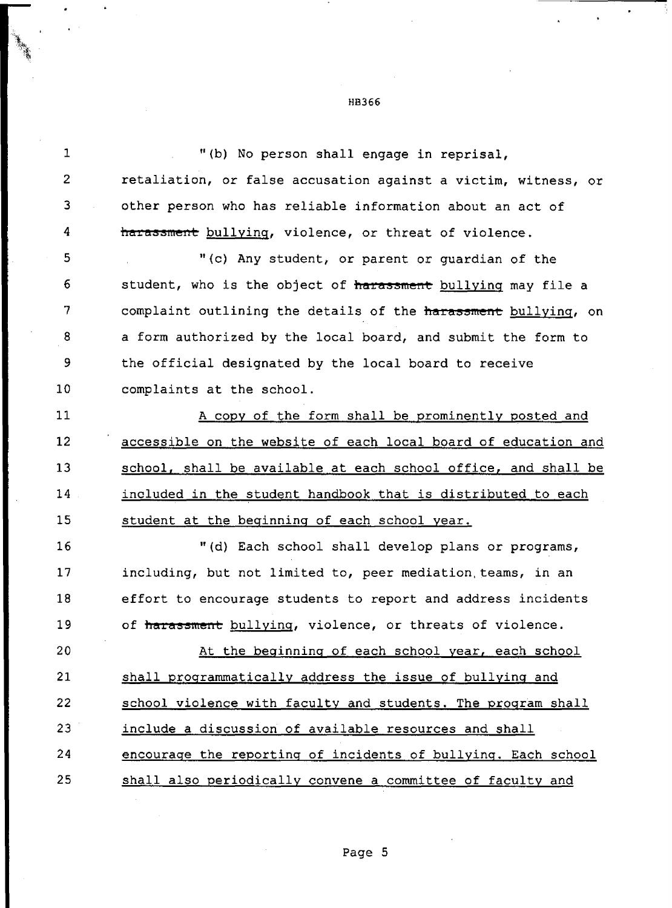1 "(b) No person shall engage in reprisal, 2 retaliation, or false accusation against a victim, witness, or 3 other person who has reliable information about an act of 4 **harassment** bullying, violence, or threat of violence. 5 11 11 (c) Any student, or parent or guardian of the 6 student, who is the object of **harassment** bullying may file a 7 complaint outlining the details of the **harassment** bullying, on 8 a form authorized by the local board, and submit the form to 9 the official designated by the local board to receive 10 complaints at the school. 11 A copy of the form shall be prominently posted and 12 accessible on the website of each local board of education and 13 school, shall be available at each school office, and shall be 14 included in the student handbook that is distributed to each 15 student at the beginning of each school year. 16 "(d) Each school shall develop plans or programs, 17 including, but not limited to, peer mediation.teams, in an 18 effort to encourage students to report and address incidents 19 of *harassment* bullying, violence, or threats of violence. 20 At the beginning of each school year, each school 21 shall programmatically address the issue of bullying and 22 school violence with faculty and students. The program shall 23 include a discussion of available resources and shall

25 shall also periodically convene a committee of faculty and

24 encourage the reporting of incidents of bullying. Each school

HB366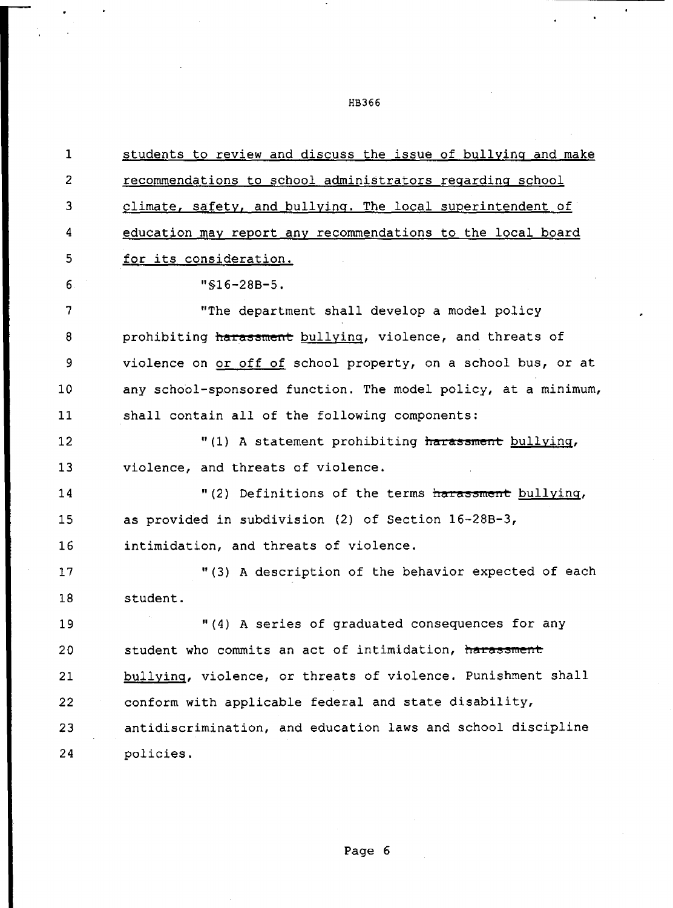1 2 3 4 5 6 7 8 9 10 11 12 13 14 15 16 17 18 19 students to review and discuss the issue of bullying and make recommendations to school administrators regarding school climate, safety, and bullying. The local superintendent of education may report any recommendations to the local board for its consideration. "§16-28B-5. "The department shall develop a model policy prohibiting harassment bullying, violence, and threats of violence on or off of school property, on a school bus, or at any school-sponsored function. The model policy, at a minimum, shall contain all of the following components: "(1) A statement prohibiting **harassment** bullying, violence, and threats of violence. "(2) Definitions of the terms harassment bullying, as provided in subdivision (2) of Section 16-28B-3, intimidation, and threats of violence. "(3) A description of the behavior expected of each student. "(4) A series of graduated consequences for any 20 student who commits an act of intimidation, **harassment**  21 22 **23 24**  bullying, violence, or threats of violence. Punishment shall conform with applicable federal and state disability, antidiscrimination, and education laws and school discipline policies.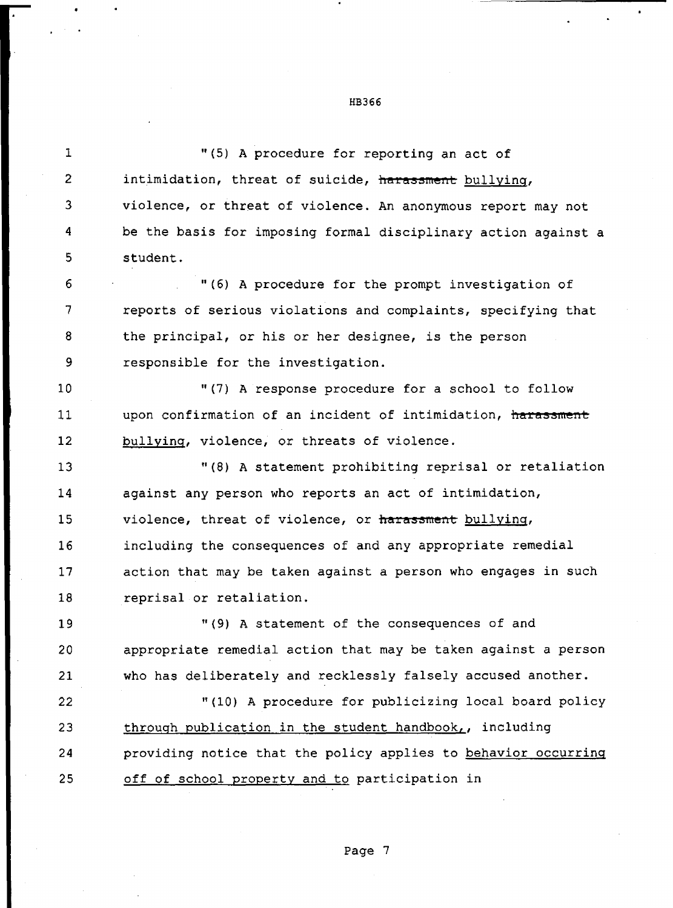1 "(5) A procedure for reporting an act of 2 intimidation, threat of suicide, harassment bullying, 3 violence, or threat of violence. An anonymous report may not 4 be the basis for imposing formal disciplinary action against a 5 student. 6 "(6) A procedure for the prompt investigation of 7 reports of serious violations and complaints, specifying that 8 the principal, or his or her designee, is the person 9 responsible for the investigation. 10 "(7) A response procedure for a school to follow 11 upon confirmation of an incident of intimidation, harassment 12 13 14 15 16 17 18 19 20 21 22 23 **24**  25 bullying, violence, or threats of violence. "(8) A statement prohibiting reprisal or retaliation against any person who reports an act of intimidation, violence, threat of violence, or harassment bullying, including the consequences of and any appropriate remedial action that may be taken against a person who engages in such reprisal or retaliation. "(9) A statement of the consequences of and appropriate remedial action that may be taken against a person who has deliberately and recklessly falsely accused another. "(10) A procedure for publicizing local board policy through publication in the student handbook,, including providing notice that the policy applies to behavior occurring off of school property and to participation in

## HB366

Page 7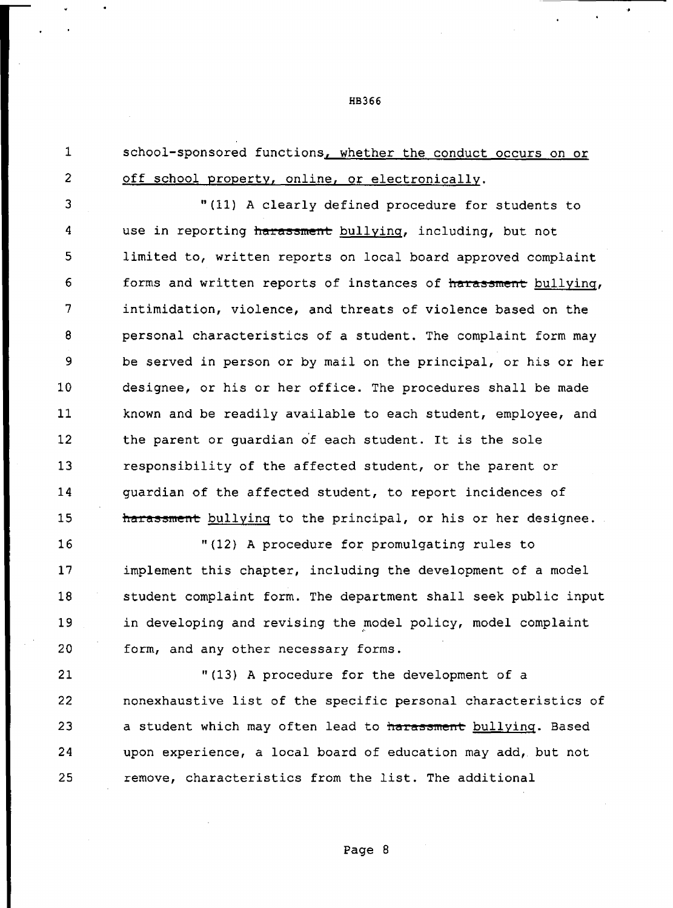1 school-sponsored functions, whether the conduct occurs on or 2 off school property, online, or electronically.

3 "(11) A clearly defined procedure for students to 4 use in reporting harassment bullying, including, but not 5 limited to, written reports on local board approved complaint 6 forms and written reports of instances of harassment bullying, <sup>7</sup>intimidation, violence, and threats of violence based on the 8 personal characteristics of a student. The complaint form may 9 be served in person or by mail on the principal, or his or her 10 designee, or his or her office. The procedures shall be made 11 known and be readily available to each student, employee, and 12 the parent or quardian of each student. It is the sole 13 responsibility of the affected student, or the parent or 14 guardian of the affected student, to report incidences of 15 **haz:assment** bullying to the principal, or his or her designee.

16 "(12) A procedure for promulgating rules to 17 implement this chapter, including the development of a model 18 student complaint form. The department shall seek public input 19 in developing and revising the model policy, model complaint , 20 form, and any other necessary forms.

21 "(13) A procedure for the development of a 22 nonexhaustive list of the specific personal characteristics of 23 a student which may often lead to harassment **bullying**. Based 24 upon experience, a local board of education may add, but not 25 remove, characteristics from the list. The additional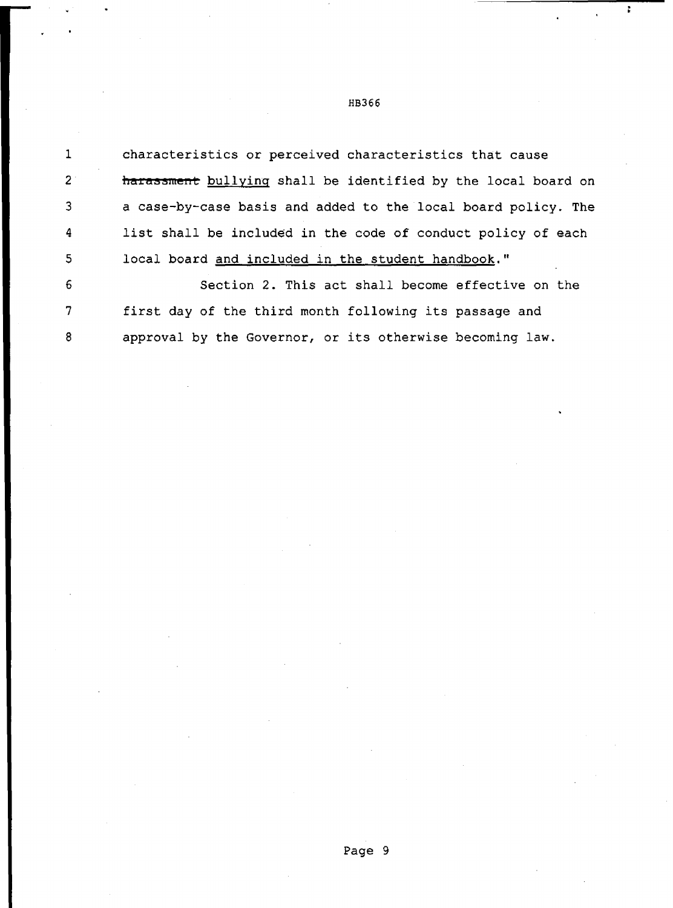1 2 3 4 5 characteristics or perceived characteristics that cause **hara55ment** bullying shall be identified by the local board on a case-by-case basis and added to the local board policy. The list shall be included in the code of conduct policy of each local board and included in the student handbook."

6 7 8 Section 2. This act shall become effective on the first day of the third month following its passage and approval by the Governor, or its otherwise becoming law.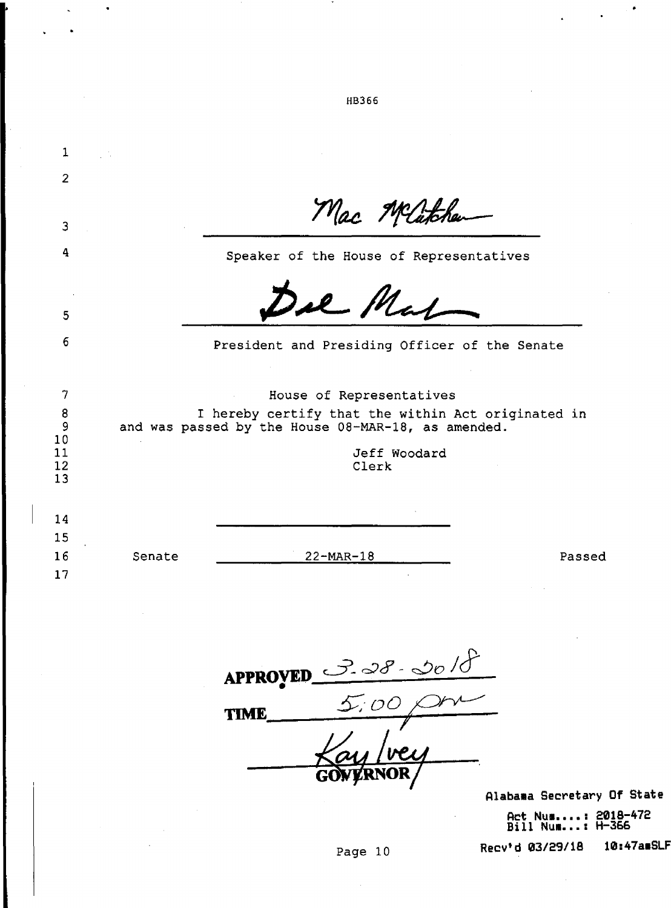|                |                                                                                                          | HB366                                         |        |
|----------------|----------------------------------------------------------------------------------------------------------|-----------------------------------------------|--------|
|                |                                                                                                          |                                               |        |
| $\mathbf 1$    |                                                                                                          |                                               |        |
| $\overline{2}$ |                                                                                                          |                                               |        |
|                |                                                                                                          | Mac Michael                                   |        |
| 3              |                                                                                                          |                                               |        |
| 4              |                                                                                                          | Speaker of the House of Representatives       |        |
|                |                                                                                                          | il Mal                                        |        |
| 5              |                                                                                                          |                                               |        |
| 6              |                                                                                                          | President and Presiding Officer of the Senate |        |
|                |                                                                                                          |                                               |        |
| 7              |                                                                                                          | House of Representatives                      |        |
| 8<br>9         | I hereby certify that the within Act originated in<br>and was passed by the House 08-MAR-18, as amended. |                                               |        |
| 10             |                                                                                                          |                                               |        |
| 11<br>12       |                                                                                                          | Jeff Woodard<br>Clerk                         |        |
| 13             |                                                                                                          |                                               |        |
| 14             |                                                                                                          |                                               |        |
| 15             |                                                                                                          |                                               |        |
| 16             | Senate                                                                                                   | 22-MAR-18                                     | Passed |
| 17             |                                                                                                          |                                               |        |
|                |                                                                                                          |                                               |        |
|                |                                                                                                          |                                               |        |
|                |                                                                                                          |                                               |        |
|                |                                                                                                          | APPROVED $38-00/8$                            |        |
|                |                                                                                                          |                                               |        |

 $\bullet$ 

 $\frac{5.00}{1}$  $\overline{\phantom{0}}$ **TIME** G

Alabama Secretary Of State **Act** Nu■ **•••• : 2018-472 Bill** Nu■ **••• : H-366** 

 $\sim$   $\bullet$ 

 $\mathbf{a}^{\prime}$ 

**Recv'd 03/29/18** 10:47a SLF